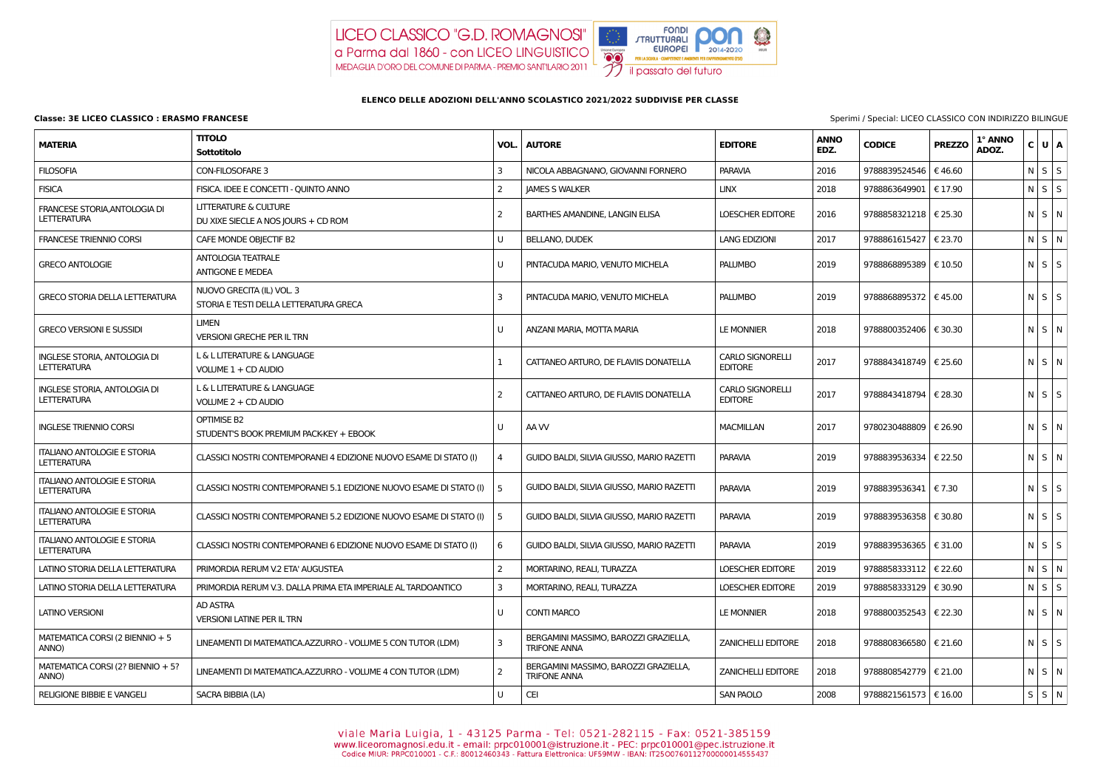## **Classe: 3E LICEO CLASSICO : ERASMO FRANCESE** Sperimi / Special: LICEO CLASSICO CON INDIRIZZO BILINGUE

LICEO CLASSICO "G.D. ROMAGNOSI" a Parma dal 1860 - con LICEO LINGUISTICO MEDAGLIA D'ORO DEL COMUNE DI PARMA - PREMIO SANTILARIO 2011



## **ELENCO DELLE ADOZIONI DELL'ANNO SCOLASTICO 2021/2022 SUDDIVISE PER CLASSE**

|                                                          |                                                                     |          |                                                              |                                           | $\frac{1}{2}$       |                                |               |                  |                   |  |
|----------------------------------------------------------|---------------------------------------------------------------------|----------|--------------------------------------------------------------|-------------------------------------------|---------------------|--------------------------------|---------------|------------------|-------------------|--|
| <b>MATERIA</b>                                           | <b>TITOLO</b><br><b>Sottotitolo</b>                                 | VOL.     | <b>AUTORE</b>                                                | <b>EDITORE</b>                            | <b>ANNO</b><br>EDZ. | <b>CODICE</b>                  | <b>PREZZO</b> | 1° ANNO<br>ADOZ. | C U A             |  |
| <b>FILOSOFIA</b>                                         | <b>CON-FILOSOFARE 3</b>                                             | 3        | NICOLA ABBAGNANO, GIOVANNI FORNERO                           | <b>PARAVIA</b>                            | 2016                | 9788839524546   € 46.60        |               |                  | $N$ S $S$         |  |
| <b>FISICA</b>                                            | FISICA. IDEE E CONCETTI - QUINTO ANNO                               |          | <b>JAMES S WALKER</b>                                        | <b>LINX</b>                               | 2018                | 9788863649901   € 17.90        |               |                  | $N$ $S$ $S$       |  |
| FRANCESE STORIA, ANTOLOGIA DI<br><b>LETTERATURA</b>      | LITTERATURE & CULTURE<br>DU XIXE SIECLE A NOS JOURS + CD ROM        |          | BARTHES AMANDINE, LANGIN ELISA                               | <b>LOESCHER EDITORE</b>                   | 2016                | 9788858321218   € 25.30        |               |                  | $N$ $S$ $N$       |  |
| <b>FRANCESE TRIENNIO CORSI</b>                           | CAFE MONDE OBJECTIF B2                                              |          | <b>BELLANO, DUDEK</b>                                        | <b>LANG EDIZIONI</b>                      | 2017                | 9788861615427   € 23.70        |               |                  | $N$ $S$ $N$       |  |
| <b>GRECO ANTOLOGIE</b>                                   | <b>ANTOLOGIA TEATRALE</b><br><b>ANTIGONE E MEDEA</b>                |          | PINTACUDA MARIO, VENUTO MICHELA                              | <b>PALUMBO</b>                            | 2019                | 9788868895389   € 10.50        |               |                  | $N$ $S$ $S$       |  |
| <b>GRECO STORIA DELLA LETTERATURA</b>                    | NUOVO GRECITA (IL) VOL. 3<br>STORIA E TESTI DELLA LETTERATURA GRECA | 3        | PINTACUDA MARIO, VENUTO MICHELA                              | <b>PALUMBO</b>                            | 2019                | 9788868895372   € 45.00        |               |                  | $N$ $S$ $S$       |  |
| <b>GRECO VERSIONI E SUSSIDI</b>                          | <b>LIMEN</b><br><b>VERSIONI GRECHE PER IL TRN</b>                   |          | ANZANI MARIA, MOTTA MARIA                                    | <b>LE MONNIER</b>                         | 2018                | 9788800352406   € 30.30        |               |                  | $N$ S $\mid N$    |  |
| INGLESE STORIA, ANTOLOGIA DI<br><b>LETTERATURA</b>       | L & L LITERATURE & LANGUAGE<br>VOLUME 1 + CD AUDIO                  |          | CATTANEO ARTURO, DE FLAVIIS DONATELLA                        | <b>CARLO SIGNORELLI</b><br><b>EDITORE</b> | 2017                | 9788843418749   € 25.60        |               |                  | $N$ $S$ $N$       |  |
| INGLESE STORIA, ANTOLOGIA DI<br><b>LETTERATURA</b>       | L & L LITERATURE & LANGUAGE<br>VOLUME 2 + CD AUDIO                  | 2        | CATTANEO ARTURO, DE FLAVIIS DONATELLA                        | <b>CARLO SIGNORELLI</b><br><b>EDITORE</b> | 2017                | 9788843418794   € 28.30        |               |                  | $N$ $S$ $S$       |  |
| <b>INGLESE TRIENNIO CORSI</b>                            | OPTIMISE B2<br>STUDENT'S BOOK PREMIUM PACK-KEY + EBOOK              |          | AA W                                                         | <b>MACMILLAN</b>                          | 2017                | 9780230488809   € 26.90        |               |                  | $N \mid S \mid N$ |  |
| <b>ITALIANO ANTOLOGIE E STORIA</b><br><b>LETTERATURA</b> | CLASSICI NOSTRI CONTEMPORANEI 4 EDIZIONE NUOVO ESAME DI STATO (I)   |          | GUIDO BALDI, SILVIA GIUSSO, MARIO RAZETTI                    | <b>PARAVIA</b>                            | 2019                | 9788839536334   € 22.50        |               |                  | $N$ $S$ $N$       |  |
| <b>ITALIANO ANTOLOGIE E STORIA</b><br><b>LETTERATURA</b> | CLASSICI NOSTRI CONTEMPORANEI 5.1 EDIZIONE NUOVO ESAME DI STATO (I) |          | GUIDO BALDI, SILVIA GIUSSO, MARIO RAZETTI                    | <b>PARAVIA</b>                            | 2019                | 9788839536341   € 7.30         |               |                  | $N$ $S$ $S$       |  |
| <b>ITALIANO ANTOLOGIE E STORIA</b><br><b>LETTERATURA</b> | CLASSICI NOSTRI CONTEMPORANEI 5.2 EDIZIONE NUOVO ESAME DI STATO (I) | -5       | GUIDO BALDI, SILVIA GIUSSO, MARIO RAZETTI                    | <b>PARAVIA</b>                            | 2019                | 9788839536358   € 30.80        |               |                  | $N$ $S$ $S$       |  |
| <b>ITALIANO ANTOLOGIE E STORIA</b><br><b>LETTERATURA</b> | CLASSICI NOSTRI CONTEMPORANEI 6 EDIZIONE NUOVO ESAME DI STATO (I)   | <b>6</b> | GUIDO BALDI, SILVIA GIUSSO, MARIO RAZETTI                    | <b>PARAVIA</b>                            | 2019                | 9788839536365   € 31.00        |               |                  | $N$ $S$ $S$       |  |
| LATINO STORIA DELLA LETTERATURA                          | PRIMORDIA RERUM V.2 ETA' AUGUSTEA                                   | 2        | MORTARINO, REALI, TURAZZA                                    | LOESCHER EDITORE                          | 2019                | 9788858333112   € 22.60        |               |                  | $N \mid S \mid N$ |  |
| LATINO STORIA DELLA LETTERATURA                          | PRIMORDIA RERUM V.3. DALLA PRIMA ETA IMPERIALE AL TARDOANTICO       | 3        | MORTARINO, REALI, TURAZZA                                    | LOESCHER EDITORE                          | 2019                | 9788858333129 $\epsilon$ 30.90 |               |                  | $N$ S $S$         |  |
| <b>LATINO VERSIONI</b>                                   | AD ASTRA<br><b>VERSIONI LATINE PER IL TRN</b>                       | U        | <b>CONTI MARCO</b>                                           | <b>LE MONNIER</b>                         | 2018                | 9788800352543 $\in$ 22.30      |               |                  | $N$ $S$ $N$       |  |
| MATEMATICA CORSI (2 BIENNIO + 5<br>ANNO)                 | LINEAMENTI DI MATEMATICA.AZZURRO - VOLUME 5 CON TUTOR (LDM)         | 3        | BERGAMINI MASSIMO, BAROZZI GRAZIELLA,<br><b>TRIFONE ANNA</b> | <b>ZANICHELLI EDITORE</b>                 | 2018                | 9788808366580   € 21.60        |               |                  | $N$ $S$ $S$       |  |
| MATEMATICA CORSI (2? BIENNIO + 5?<br>ANNO)               | LINEAMENTI DI MATEMATICA.AZZURRO - VOLUME 4 CON TUTOR (LDM)         | 2        | BERGAMINI MASSIMO, BAROZZI GRAZIELLA,<br><b>TRIFONE ANNA</b> | <b>ZANICHELLI EDITORE</b>                 | 2018                | 9788808542779   € 21.00        |               |                  | $N$ $S$ $N$       |  |
| <b>RELIGIONE BIBBIE E VANGELI</b>                        | SACRA BIBBIA (LA)                                                   | U        | CEI                                                          | <b>SAN PAOLO</b>                          | 2008                | 9788821561573   € 16.00        |               |                  | $S \mid S \mid N$ |  |

Viale Maria Luigia, 1 - 43125 Parma - Tel: 0521-282115 - Fax: 0521-385159<br>www.liceoromagnosi.edu.it - email: prpc010001@istruzione.it - PEC: prpc010001@pec.istruzione.it<br>Codice MIUR: PRPC010001 - C.F.: 80012460343 - Fattur